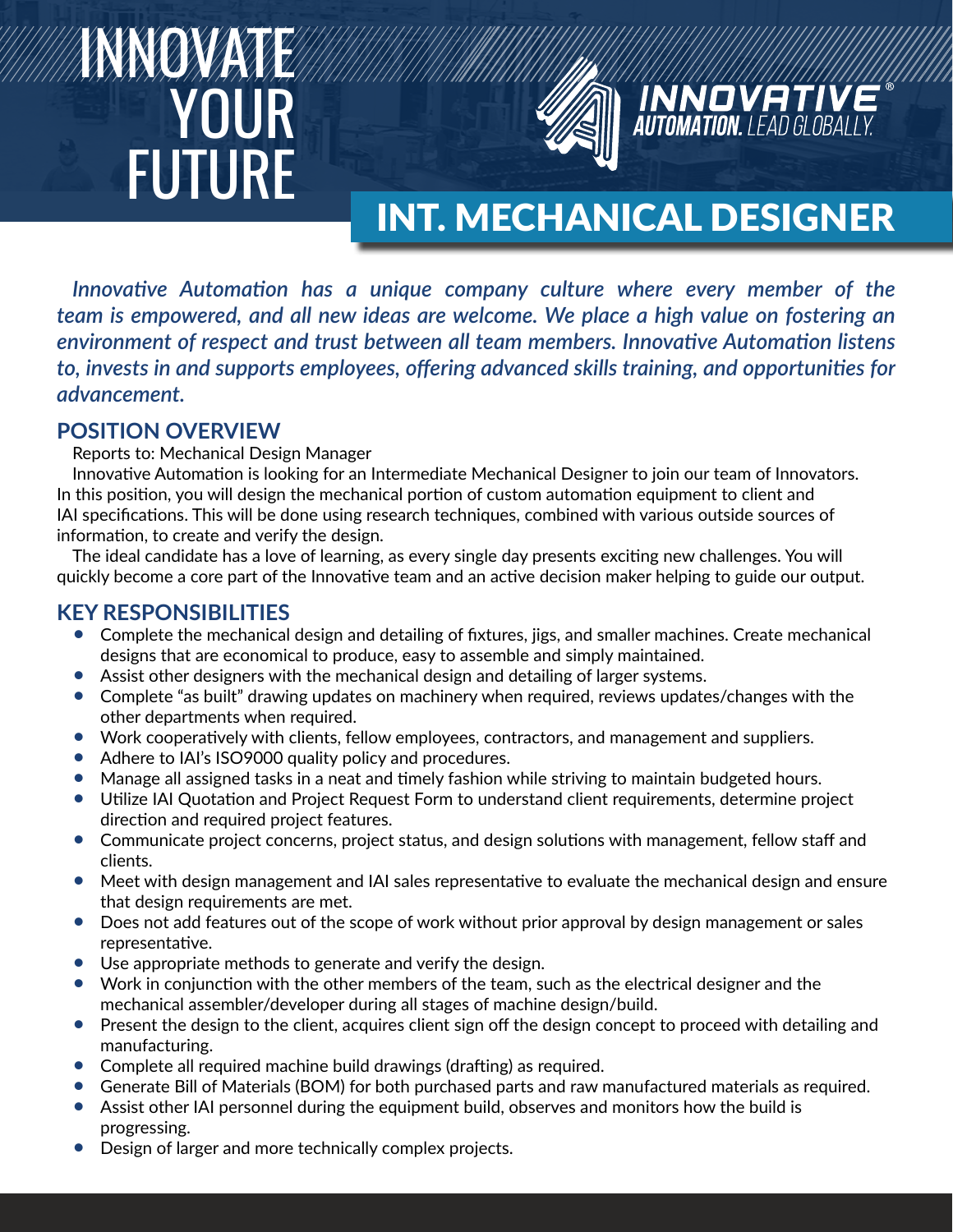# INNOVATE YOUR FUTURE



# INT. MECHANICAL DESIGNER

**INNOVATIV** 

*Innovative Automation has a unique company culture where every member of the team is empowered, and all new ideas are welcome. We place a high value on fostering an environment of respect and trust between all team members. Innovative Automation listens to, invests in and supports employees, offering advanced skills training, and opportunities for advancement.*

## **POSITION OVERVIEW**

Reports to: Mechanical Design Manager

Innovative Automation is looking for an Intermediate Mechanical Designer to join our team of Innovators. In this position, you will design the mechanical portion of custom automation equipment to client and IAI specifications. This will be done using research techniques, combined with various outside sources of information, to create and verify the design.

The ideal candidate has a love of learning, as every single day presents exciting new challenges. You will quickly become a core part of the Innovative team and an active decision maker helping to guide our output.

#### **KEY RESPONSIBILITIES**

- Complete the mechanical design and detailing of fixtures, jigs, and smaller machines. Create mechanical designs that are economical to produce, easy to assemble and simply maintained.
- Assist other designers with the mechanical design and detailing of larger systems.
- Complete "as built" drawing updates on machinery when required, reviews updates/changes with the other departments when required.
- Work cooperatively with clients, fellow employees, contractors, and management and suppliers.
- Adhere to IAI's ISO9000 quality policy and procedures.
- Manage all assigned tasks in a neat and timely fashion while striving to maintain budgeted hours.
- Utilize IAI Quotation and Project Request Form to understand client requirements, determine project direction and required project features.
- Communicate project concerns, project status, and design solutions with management, fellow staff and clients.
- Meet with design management and IAI sales representative to evaluate the mechanical design and ensure that design requirements are met.
- Does not add features out of the scope of work without prior approval by design management or sales representative.
- Use appropriate methods to generate and verify the design.
- Work in conjunction with the other members of the team, such as the electrical designer and the mechanical assembler/developer during all stages of machine design/build.
- Present the design to the client, acquires client sign off the design concept to proceed with detailing and manufacturing.
- Complete all required machine build drawings (drafting) as required.
- Generate Bill of Materials (BOM) for both purchased parts and raw manufactured materials as required.
- Assist other IAI personnel during the equipment build, observes and monitors how the build is progressing.
- Design of larger and more technically complex projects.